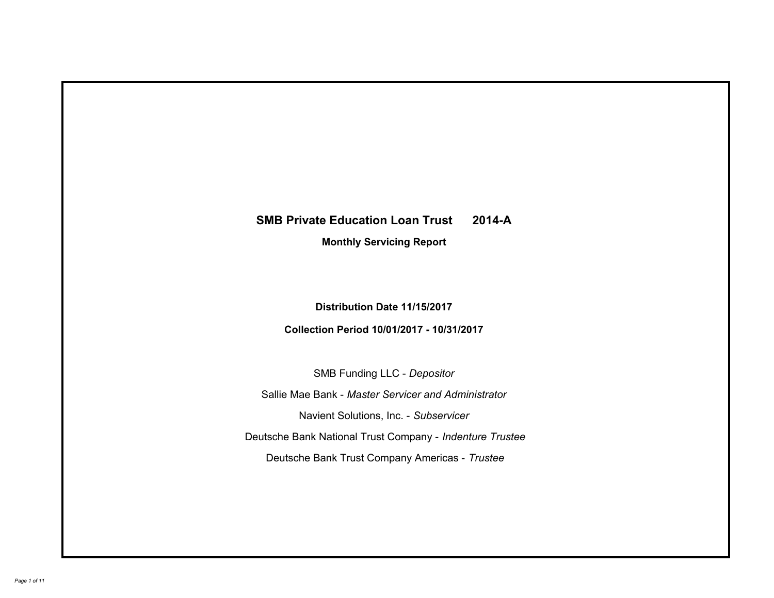# **SMB Private Education Loan Trust 2014-A Monthly Servicing Report**

**Distribution Date 11/15/2017**

**Collection Period 10/01/2017 - 10/31/2017**

SMB Funding LLC - *Depositor*

Sallie Mae Bank - *Master Servicer and Administrator*

Navient Solutions, Inc. - *Subservicer*

Deutsche Bank National Trust Company - *Indenture Trustee*

Deutsche Bank Trust Company Americas - *Trustee*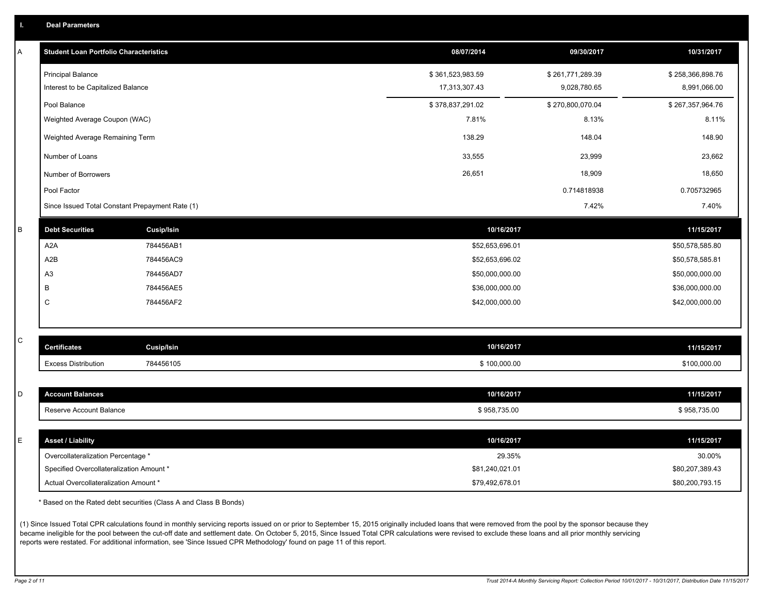|  | <b>Deal Parameters</b> |  |
|--|------------------------|--|
|  |                        |  |

| A | <b>Student Loan Portfolio Characteristics</b>   |                   | 08/07/2014       | 09/30/2017       | 10/31/2017       |
|---|-------------------------------------------------|-------------------|------------------|------------------|------------------|
|   | <b>Principal Balance</b>                        |                   | \$361,523,983.59 | \$261,771,289.39 | \$258,366,898.76 |
|   | Interest to be Capitalized Balance              |                   | 17,313,307.43    | 9,028,780.65     | 8,991,066.00     |
|   | Pool Balance                                    |                   | \$378,837,291.02 | \$270,800,070.04 | \$267,357,964.76 |
|   | Weighted Average Coupon (WAC)                   |                   | 7.81%            | 8.13%            | 8.11%            |
|   | Weighted Average Remaining Term                 |                   | 138.29           | 148.04           | 148.90           |
|   | Number of Loans                                 |                   | 33,555           | 23,999           | 23,662           |
|   | Number of Borrowers                             |                   | 26,651           | 18,909           | 18,650           |
|   | Pool Factor                                     |                   |                  | 0.714818938      | 0.705732965      |
|   | Since Issued Total Constant Prepayment Rate (1) |                   |                  | 7.42%            | 7.40%            |
| B | <b>Debt Securities</b>                          | <b>Cusip/Isin</b> | 10/16/2017       |                  | 11/15/2017       |
|   | A <sub>2</sub> A                                | 784456AB1         | \$52,653,696.01  |                  | \$50,578,585.80  |
|   | A2B                                             | 784456AC9         | \$52,653,696.02  |                  | \$50,578,585.81  |
|   | A <sub>3</sub>                                  | 784456AD7         | \$50,000,000.00  |                  | \$50,000,000.00  |
|   | В                                               | 784456AE5         | \$36,000,000.00  |                  | \$36,000,000.00  |
|   | C                                               | 784456AF2         | \$42,000,000.00  |                  | \$42,000,000.00  |
|   |                                                 |                   |                  |                  |                  |
| C | <b>Certificates</b>                             | <b>Cusip/Isin</b> | 10/16/2017       |                  | 11/15/2017       |
|   | <b>Excess Distribution</b>                      | 784456105         | \$100,000.00     |                  | \$100,000.00     |
|   |                                                 |                   |                  |                  |                  |
| D | <b>Account Balances</b>                         |                   | 10/16/2017       |                  | 11/15/2017       |
|   | Reserve Account Balance                         |                   | \$958,735.00     |                  | \$958,735.00     |
|   |                                                 |                   |                  |                  |                  |
| E | <b>Asset / Liability</b>                        |                   | 10/16/2017       |                  | 11/15/2017       |
|   | Overcollateralization Percentage *              |                   | 29.35%           |                  | 30.00%           |
|   | Specified Overcollateralization Amount *        |                   | \$81,240,021.01  |                  | \$80,207,389.43  |
|   | Actual Overcollateralization Amount *           |                   | \$79,492,678.01  |                  | \$80,200,793.15  |

\* Based on the Rated debt securities (Class A and Class B Bonds)

(1) Since Issued Total CPR calculations found in monthly servicing reports issued on or prior to September 15, 2015 originally included loans that were removed from the pool by the sponsor because they became ineligible for the pool between the cut-off date and settlement date. On October 5, 2015, Since Issued Total CPR calculations were revised to exclude these loans and all prior monthly servicing reports were restated. For additional information, see 'Since Issued CPR Methodology' found on page 11 of this report.

*Page 2 of 11 Trust 2014-A Monthly Servicing Report: Collection Period 10/01/2017 - 10/31/2017, Distribution Date 11/15/2017*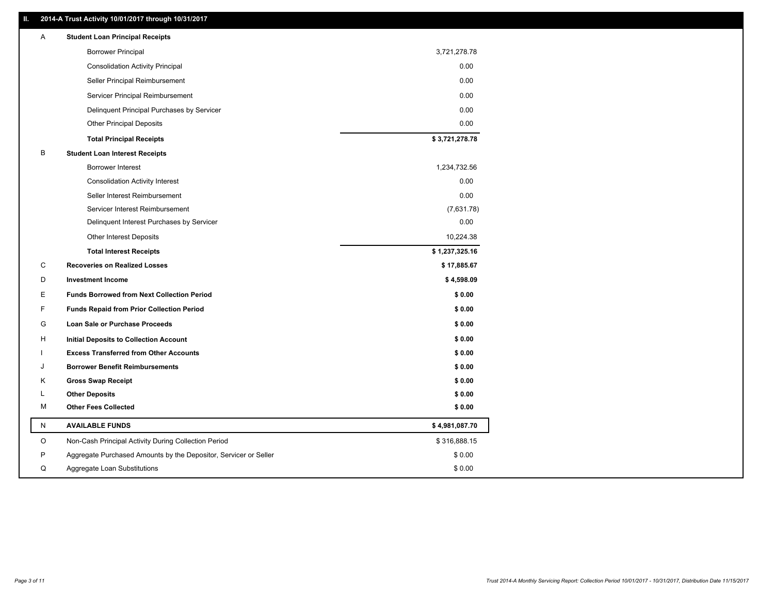## **II. 2014-A Trust Activity 10/01/2017 through 10/31/2017**

| Α | <b>Student Loan Principal Receipts</b>                           |                |  |
|---|------------------------------------------------------------------|----------------|--|
|   | <b>Borrower Principal</b>                                        | 3,721,278.78   |  |
|   | <b>Consolidation Activity Principal</b>                          | 0.00           |  |
|   | Seller Principal Reimbursement                                   | 0.00           |  |
|   | Servicer Principal Reimbursement                                 | 0.00           |  |
|   | Delinquent Principal Purchases by Servicer                       | 0.00           |  |
|   | <b>Other Principal Deposits</b>                                  | 0.00           |  |
|   | <b>Total Principal Receipts</b>                                  | \$3,721,278.78 |  |
| B | <b>Student Loan Interest Receipts</b>                            |                |  |
|   | <b>Borrower Interest</b>                                         | 1,234,732.56   |  |
|   | <b>Consolidation Activity Interest</b>                           | 0.00           |  |
|   | Seller Interest Reimbursement                                    | 0.00           |  |
|   | Servicer Interest Reimbursement                                  | (7,631.78)     |  |
|   | Delinquent Interest Purchases by Servicer                        | 0.00           |  |
|   | <b>Other Interest Deposits</b>                                   | 10,224.38      |  |
|   | <b>Total Interest Receipts</b>                                   | \$1,237,325.16 |  |
| С | <b>Recoveries on Realized Losses</b>                             | \$17,885.67    |  |
| D | <b>Investment Income</b>                                         | \$4,598.09     |  |
| Е | <b>Funds Borrowed from Next Collection Period</b>                | \$0.00         |  |
| F | <b>Funds Repaid from Prior Collection Period</b>                 | \$0.00         |  |
| G | Loan Sale or Purchase Proceeds                                   | \$0.00         |  |
| н | <b>Initial Deposits to Collection Account</b>                    | \$0.00         |  |
|   | <b>Excess Transferred from Other Accounts</b>                    | \$0.00         |  |
|   | <b>Borrower Benefit Reimbursements</b>                           | \$0.00         |  |
| Κ | <b>Gross Swap Receipt</b>                                        | \$0.00         |  |
| L | <b>Other Deposits</b>                                            | \$0.00         |  |
| M | <b>Other Fees Collected</b>                                      | \$0.00         |  |
| N | <b>AVAILABLE FUNDS</b>                                           | \$4,981,087.70 |  |
| O | Non-Cash Principal Activity During Collection Period             | \$316,888.15   |  |
| P | Aggregate Purchased Amounts by the Depositor, Servicer or Seller | \$0.00         |  |
| Q | Aggregate Loan Substitutions                                     | \$0.00         |  |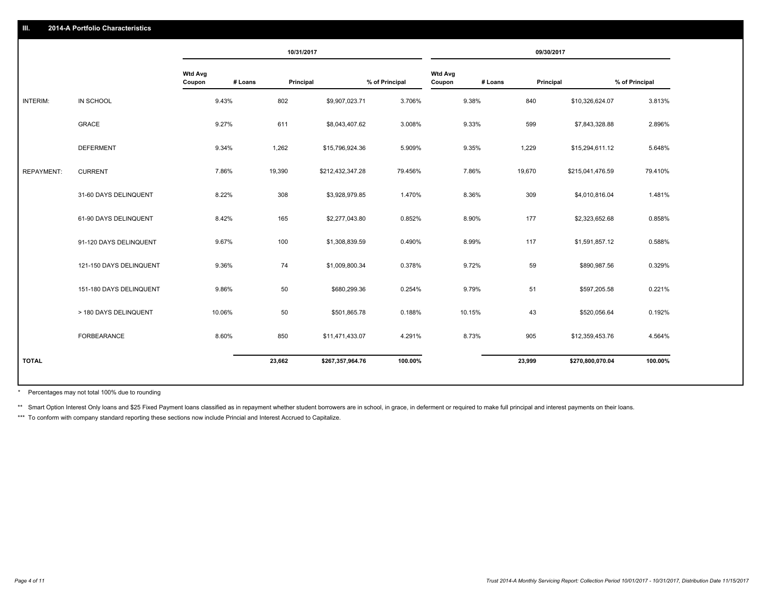|                   |                         |                   |         | 10/31/2017       |                |                          |         | 09/30/2017       |                |
|-------------------|-------------------------|-------------------|---------|------------------|----------------|--------------------------|---------|------------------|----------------|
|                   |                         | Wtd Avg<br>Coupon | # Loans | Principal        | % of Principal | <b>Wtd Avg</b><br>Coupon | # Loans | Principal        | % of Principal |
| INTERIM:          | IN SCHOOL               | 9.43%             | 802     | \$9,907,023.71   | 3.706%         | 9.38%                    | 840     | \$10,326,624.07  | 3.813%         |
|                   | <b>GRACE</b>            | 9.27%             | 611     | \$8,043,407.62   | 3.008%         | 9.33%                    | 599     | \$7,843,328.88   | 2.896%         |
|                   | <b>DEFERMENT</b>        | 9.34%             | 1,262   | \$15,796,924.36  | 5.909%         | 9.35%                    | 1,229   | \$15,294,611.12  | 5.648%         |
| <b>REPAYMENT:</b> | <b>CURRENT</b>          | 7.86%             | 19,390  | \$212,432,347.28 | 79.456%        | 7.86%                    | 19,670  | \$215,041,476.59 | 79.410%        |
|                   | 31-60 DAYS DELINQUENT   | 8.22%             | 308     | \$3,928,979.85   | 1.470%         | 8.36%                    | 309     | \$4,010,816.04   | 1.481%         |
|                   | 61-90 DAYS DELINQUENT   | 8.42%             | 165     | \$2,277,043.80   | 0.852%         | 8.90%                    | 177     | \$2,323,652.68   | 0.858%         |
|                   | 91-120 DAYS DELINQUENT  | 9.67%             | 100     | \$1,308,839.59   | 0.490%         | 8.99%                    | 117     | \$1,591,857.12   | 0.588%         |
|                   | 121-150 DAYS DELINQUENT | 9.36%             | 74      | \$1,009,800.34   | 0.378%         | 9.72%                    | 59      | \$890,987.56     | 0.329%         |
|                   | 151-180 DAYS DELINQUENT | 9.86%             | 50      | \$680,299.36     | 0.254%         | 9.79%                    | 51      | \$597,205.58     | 0.221%         |
|                   | > 180 DAYS DELINQUENT   | 10.06%            | 50      | \$501,865.78     | 0.188%         | 10.15%                   | 43      | \$520,056.64     | 0.192%         |
|                   | FORBEARANCE             | 8.60%             | 850     | \$11,471,433.07  | 4.291%         | 8.73%                    | 905     | \$12,359,453.76  | 4.564%         |
| <b>TOTAL</b>      |                         |                   | 23,662  | \$267,357,964.76 | 100.00%        |                          | 23,999  | \$270,800,070.04 | 100.00%        |

Percentages may not total 100% due to rounding \*

\*\* Smart Option Interest Only loans and \$25 Fixed Payment loans classified as in repayment whether student borrowers are in school, in grace, in deferment or required to make full principal and interest payments on their l

\*\*\* To conform with company standard reporting these sections now include Princial and Interest Accrued to Capitalize.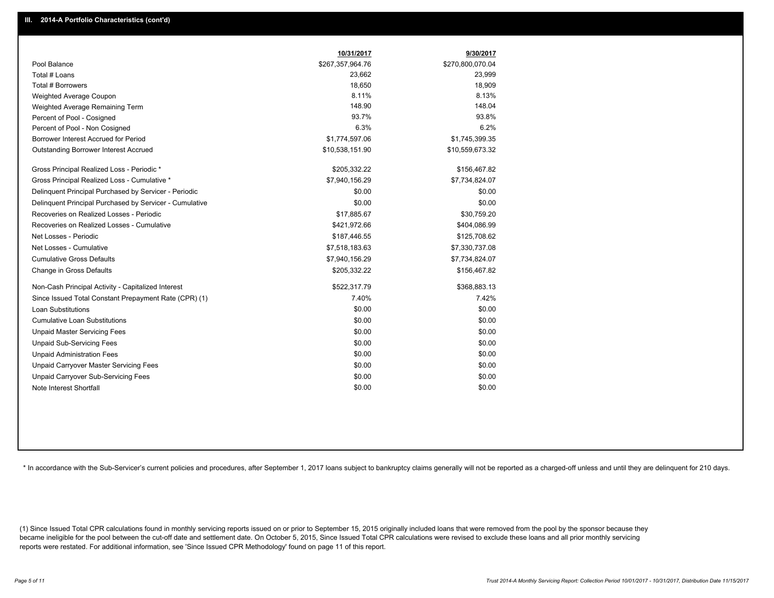|                                                         | 10/31/2017       | 9/30/2017        |
|---------------------------------------------------------|------------------|------------------|
| Pool Balance                                            | \$267,357,964.76 | \$270,800,070.04 |
| Total # Loans                                           | 23,662           | 23,999           |
| Total # Borrowers                                       | 18,650           | 18,909           |
| Weighted Average Coupon                                 | 8.11%            | 8.13%            |
| Weighted Average Remaining Term                         | 148.90           | 148.04           |
| Percent of Pool - Cosigned                              | 93.7%            | 93.8%            |
| Percent of Pool - Non Cosigned                          | 6.3%             | 6.2%             |
| Borrower Interest Accrued for Period                    | \$1,774,597.06   | \$1,745,399.35   |
| Outstanding Borrower Interest Accrued                   | \$10,538,151.90  | \$10,559,673.32  |
| Gross Principal Realized Loss - Periodic *              | \$205,332.22     | \$156,467.82     |
| Gross Principal Realized Loss - Cumulative *            | \$7,940,156.29   | \$7,734,824.07   |
| Delinquent Principal Purchased by Servicer - Periodic   | \$0.00           | \$0.00           |
| Delinquent Principal Purchased by Servicer - Cumulative | \$0.00           | \$0.00           |
| Recoveries on Realized Losses - Periodic                | \$17,885.67      | \$30,759.20      |
| Recoveries on Realized Losses - Cumulative              | \$421,972.66     | \$404,086.99     |
| Net Losses - Periodic                                   | \$187,446.55     | \$125,708.62     |
| Net Losses - Cumulative                                 | \$7,518,183.63   | \$7,330,737.08   |
| <b>Cumulative Gross Defaults</b>                        | \$7,940,156.29   | \$7,734,824.07   |
| Change in Gross Defaults                                | \$205,332.22     | \$156,467.82     |
| Non-Cash Principal Activity - Capitalized Interest      | \$522,317.79     | \$368,883.13     |
| Since Issued Total Constant Prepayment Rate (CPR) (1)   | 7.40%            | 7.42%            |
| Loan Substitutions                                      | \$0.00           | \$0.00           |
| <b>Cumulative Loan Substitutions</b>                    | \$0.00           | \$0.00           |
| <b>Unpaid Master Servicing Fees</b>                     | \$0.00           | \$0.00           |
| <b>Unpaid Sub-Servicing Fees</b>                        | \$0.00           | \$0.00           |
| <b>Unpaid Administration Fees</b>                       | \$0.00           | \$0.00           |
| Unpaid Carryover Master Servicing Fees                  | \$0.00           | \$0.00           |
| Unpaid Carryover Sub-Servicing Fees                     | \$0.00           | \$0.00           |
| Note Interest Shortfall                                 | \$0.00           | \$0.00           |

\* In accordance with the Sub-Servicer's current policies and procedures, after September 1, 2017 loans subject to bankruptcy claims generally will not be reported as a charged-off unless and until they are delinguent for 2

(1) Since Issued Total CPR calculations found in monthly servicing reports issued on or prior to September 15, 2015 originally included loans that were removed from the pool by the sponsor because they became ineligible for the pool between the cut-off date and settlement date. On October 5, 2015, Since Issued Total CPR calculations were revised to exclude these loans and all prior monthly servicing reports were restated. For additional information, see 'Since Issued CPR Methodology' found on page 11 of this report.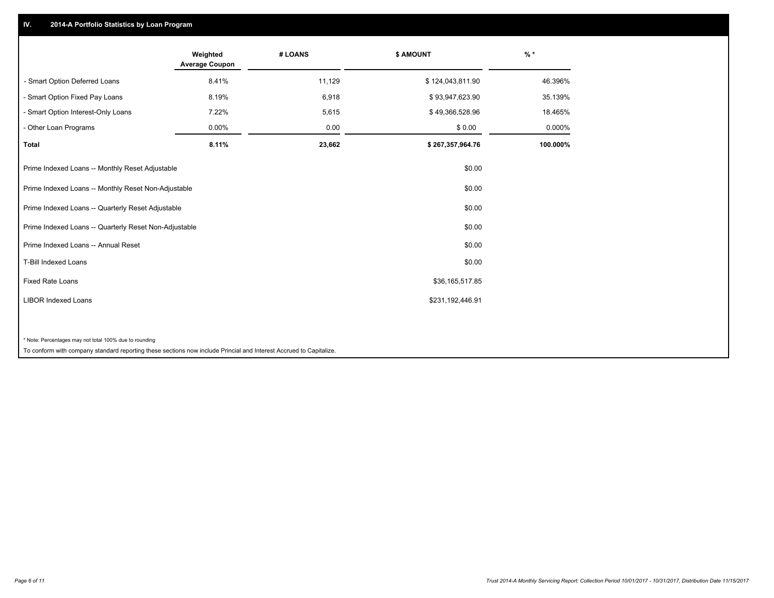## **IV. 2014-A Portfolio Statistics by Loan Program**

|                                                                                                                    | Weighted<br><b>Average Coupon</b> | # LOANS | <b>\$ AMOUNT</b> | $\frac{9}{6}$ * |
|--------------------------------------------------------------------------------------------------------------------|-----------------------------------|---------|------------------|-----------------|
| - Smart Option Deferred Loans                                                                                      | 8.41%                             | 11,129  | \$124,043,811.90 | 46.396%         |
| - Smart Option Fixed Pay Loans                                                                                     | 8.19%                             | 6,918   | \$93,947,623.90  | 35.139%         |
| - Smart Option Interest-Only Loans                                                                                 | 7.22%                             | 5,615   | \$49,366,528.96  | 18.465%         |
| - Other Loan Programs                                                                                              | $0.00\%$                          | 0.00    | \$0.00           | 0.000%          |
| <b>Total</b>                                                                                                       | 8.11%                             | 23,662  | \$267,357,964.76 | 100.000%        |
| Prime Indexed Loans -- Monthly Reset Adjustable                                                                    |                                   |         | \$0.00           |                 |
| Prime Indexed Loans -- Monthly Reset Non-Adjustable                                                                |                                   |         | \$0.00           |                 |
| Prime Indexed Loans -- Quarterly Reset Adjustable                                                                  |                                   |         | \$0.00           |                 |
| Prime Indexed Loans -- Quarterly Reset Non-Adjustable                                                              |                                   |         | \$0.00           |                 |
| Prime Indexed Loans -- Annual Reset                                                                                |                                   |         | \$0.00           |                 |
| T-Bill Indexed Loans                                                                                               |                                   |         | \$0.00           |                 |
| Fixed Rate Loans                                                                                                   |                                   |         | \$36,165,517.85  |                 |
| <b>LIBOR Indexed Loans</b>                                                                                         |                                   |         | \$231,192,446.91 |                 |
|                                                                                                                    |                                   |         |                  |                 |
| * Note: Percentages may not total 100% due to rounding                                                             |                                   |         |                  |                 |
| To conform with company standard reporting these sections now include Princial and Interest Accrued to Capitalize. |                                   |         |                  |                 |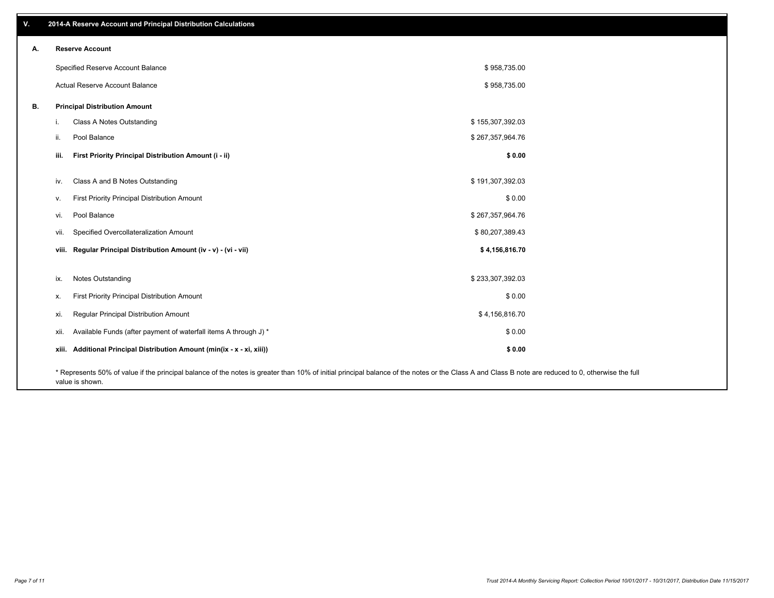| V. |       | 2014-A Reserve Account and Principal Distribution Calculations                                                                                                                                                        |                  |  |
|----|-------|-----------------------------------------------------------------------------------------------------------------------------------------------------------------------------------------------------------------------|------------------|--|
| А. |       | <b>Reserve Account</b>                                                                                                                                                                                                |                  |  |
|    |       | Specified Reserve Account Balance                                                                                                                                                                                     | \$958,735.00     |  |
|    |       | Actual Reserve Account Balance                                                                                                                                                                                        | \$958,735.00     |  |
| В. |       | <b>Principal Distribution Amount</b>                                                                                                                                                                                  |                  |  |
|    | L.    | Class A Notes Outstanding                                                                                                                                                                                             | \$155,307,392.03 |  |
|    | ii.   | Pool Balance                                                                                                                                                                                                          | \$267,357,964.76 |  |
|    |       |                                                                                                                                                                                                                       |                  |  |
|    | iii.  | First Priority Principal Distribution Amount (i - ii)                                                                                                                                                                 | \$0.00           |  |
|    | iv.   | Class A and B Notes Outstanding                                                                                                                                                                                       | \$191,307,392.03 |  |
|    | v.    | First Priority Principal Distribution Amount                                                                                                                                                                          | \$0.00           |  |
|    | vi.   | Pool Balance                                                                                                                                                                                                          | \$267,357,964.76 |  |
|    | vii.  | Specified Overcollateralization Amount                                                                                                                                                                                | \$80,207,389.43  |  |
|    |       | viii. Regular Principal Distribution Amount (iv - v) - (vi - vii)                                                                                                                                                     | \$4,156,816.70   |  |
|    |       |                                                                                                                                                                                                                       |                  |  |
|    | ix.   | Notes Outstanding                                                                                                                                                                                                     | \$233,307,392.03 |  |
|    | х.    | First Priority Principal Distribution Amount                                                                                                                                                                          | \$0.00           |  |
|    | xi.   | Regular Principal Distribution Amount                                                                                                                                                                                 | \$4,156,816.70   |  |
|    | xii.  | Available Funds (after payment of waterfall items A through J) *                                                                                                                                                      | \$0.00           |  |
|    | xiii. | Additional Principal Distribution Amount (min(ix - x - xi, xiii))                                                                                                                                                     | \$0.00           |  |
|    |       | * Represents 50% of value if the principal balance of the notes is greater than 10% of initial principal balance of the notes or the Class A and Class B note are reduced to 0, otherwise the full<br>value is shown. |                  |  |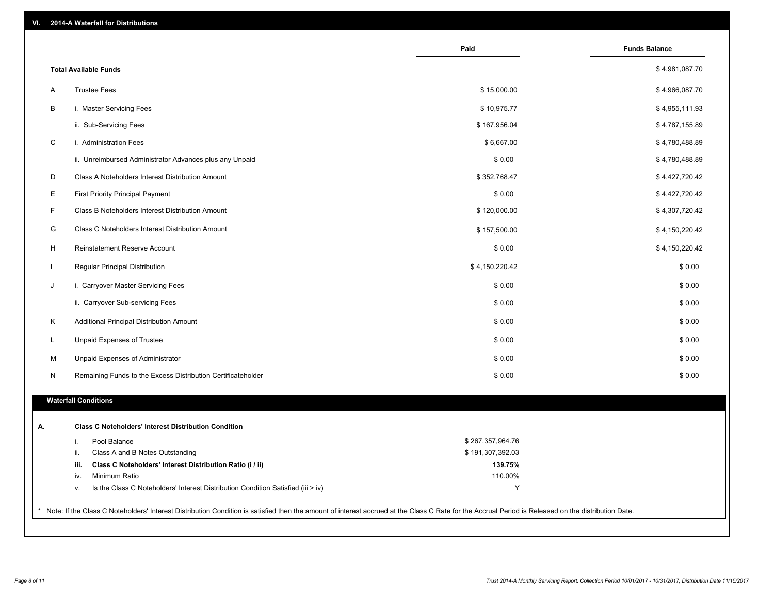|                                                                                        | Paid             | <b>Funds Balance</b> |
|----------------------------------------------------------------------------------------|------------------|----------------------|
| <b>Total Available Funds</b>                                                           |                  | \$4,981,087.70       |
| <b>Trustee Fees</b><br>A                                                               | \$15,000.00      | \$4,966,087.70       |
| B<br>i. Master Servicing Fees                                                          | \$10,975.77      | \$4,955,111.93       |
| ii. Sub-Servicing Fees                                                                 | \$167,956.04     | \$4,787,155.89       |
| C<br>i. Administration Fees                                                            | \$6,667.00       | \$4,780,488.89       |
| ii. Unreimbursed Administrator Advances plus any Unpaid                                | \$0.00           | \$4,780,488.89       |
| D<br>Class A Noteholders Interest Distribution Amount                                  | \$352,768.47     | \$4,427,720.42       |
| Е<br><b>First Priority Principal Payment</b>                                           | \$0.00           | \$4,427,720.42       |
| F<br>Class B Noteholders Interest Distribution Amount                                  | \$120,000.00     | \$4,307,720.42       |
| G<br>Class C Noteholders Interest Distribution Amount                                  | \$157,500.00     | \$4,150,220.42       |
| H<br>Reinstatement Reserve Account                                                     | \$0.00           | \$4,150,220.42       |
| Regular Principal Distribution<br>$\mathbf{I}$                                         | \$4,150,220.42   | \$0.00               |
| J<br>i. Carryover Master Servicing Fees                                                | \$0.00           | \$0.00               |
| ii. Carryover Sub-servicing Fees                                                       | \$0.00           | \$0.00               |
| Κ<br>Additional Principal Distribution Amount                                          | \$0.00           | \$0.00               |
| Unpaid Expenses of Trustee<br>L                                                        | \$0.00           | \$0.00               |
| M<br>Unpaid Expenses of Administrator                                                  | \$0.00           | \$0.00               |
| Remaining Funds to the Excess Distribution Certificateholder<br>N                      | \$0.00           | \$0.00               |
|                                                                                        |                  |                      |
| <b>Waterfall Conditions</b>                                                            |                  |                      |
| <b>Class C Noteholders' Interest Distribution Condition</b>                            |                  |                      |
| Pool Balance<br>i.                                                                     | \$267,357,964.76 |                      |
| ii.<br>Class A and B Notes Outstanding                                                 | \$191,307,392.03 |                      |
| iii.<br>Class C Noteholders' Interest Distribution Ratio (i / ii)                      | 139.75%          |                      |
| Minimum Ratio<br>iv.                                                                   | 110.00%          |                      |
| Is the Class C Noteholders' Interest Distribution Condition Satisfied (iii > iv)<br>v. | Y                |                      |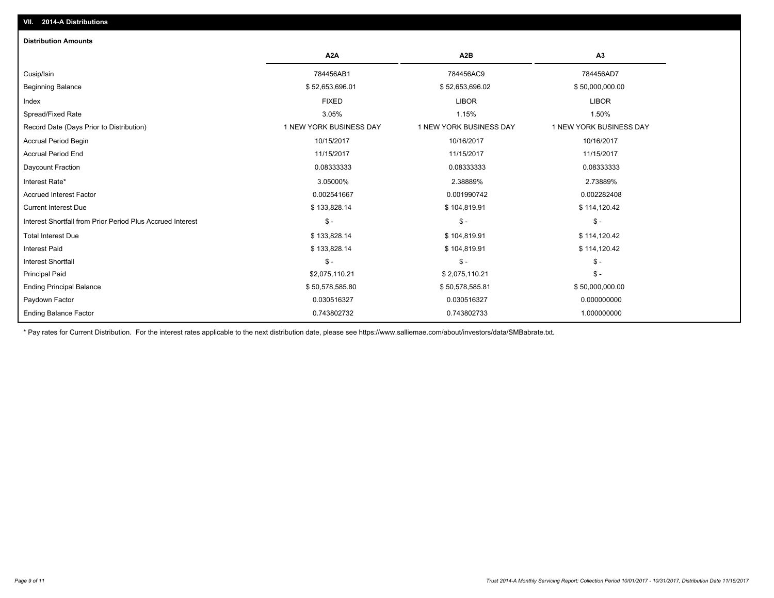| <b>Distribution Amounts</b>                                |                         |                         |                         |
|------------------------------------------------------------|-------------------------|-------------------------|-------------------------|
|                                                            | A <sub>2</sub> A        | A2B                     | A <sub>3</sub>          |
| Cusip/Isin                                                 | 784456AB1               | 784456AC9               | 784456AD7               |
| <b>Beginning Balance</b>                                   | \$52,653,696.01         | \$52,653,696.02         | \$50,000,000.00         |
| Index                                                      | <b>FIXED</b>            | <b>LIBOR</b>            | <b>LIBOR</b>            |
| Spread/Fixed Rate                                          | 3.05%                   | 1.15%                   | 1.50%                   |
| Record Date (Days Prior to Distribution)                   | 1 NEW YORK BUSINESS DAY | 1 NEW YORK BUSINESS DAY | 1 NEW YORK BUSINESS DAY |
| <b>Accrual Period Begin</b>                                | 10/15/2017              | 10/16/2017              | 10/16/2017              |
| <b>Accrual Period End</b>                                  | 11/15/2017              | 11/15/2017              | 11/15/2017              |
| Daycount Fraction                                          | 0.08333333              | 0.08333333              | 0.08333333              |
| Interest Rate*                                             | 3.05000%                | 2.38889%                | 2.73889%                |
| <b>Accrued Interest Factor</b>                             | 0.002541667             | 0.001990742             | 0.002282408             |
| <b>Current Interest Due</b>                                | \$133,828.14            | \$104,819.91            | \$114,120.42            |
| Interest Shortfall from Prior Period Plus Accrued Interest | $\mathsf{\$}$ -         | $\mathsf{\$}$ -         | $\mathsf{\$}$ -         |
| <b>Total Interest Due</b>                                  | \$133,828.14            | \$104,819.91            | \$114,120.42            |
| <b>Interest Paid</b>                                       | \$133,828.14            | \$104,819.91            | \$114,120.42            |
| <b>Interest Shortfall</b>                                  | $\mathsf{\$}$ -         | $\mathsf{\$}$ -         | $\mathsf{\$}$ -         |
| <b>Principal Paid</b>                                      | \$2,075,110.21          | \$2,075,110.21          | $\frac{2}{3}$ -         |
| <b>Ending Principal Balance</b>                            | \$50,578,585.80         | \$50,578,585.81         | \$50,000,000.00         |
| Paydown Factor                                             | 0.030516327             | 0.030516327             | 0.000000000             |
| <b>Ending Balance Factor</b>                               | 0.743802732             | 0.743802733             | 1.000000000             |

\* Pay rates for Current Distribution. For the interest rates applicable to the next distribution date, please see https://www.salliemae.com/about/investors/data/SMBabrate.txt.

**VII. 2014-A Distributions**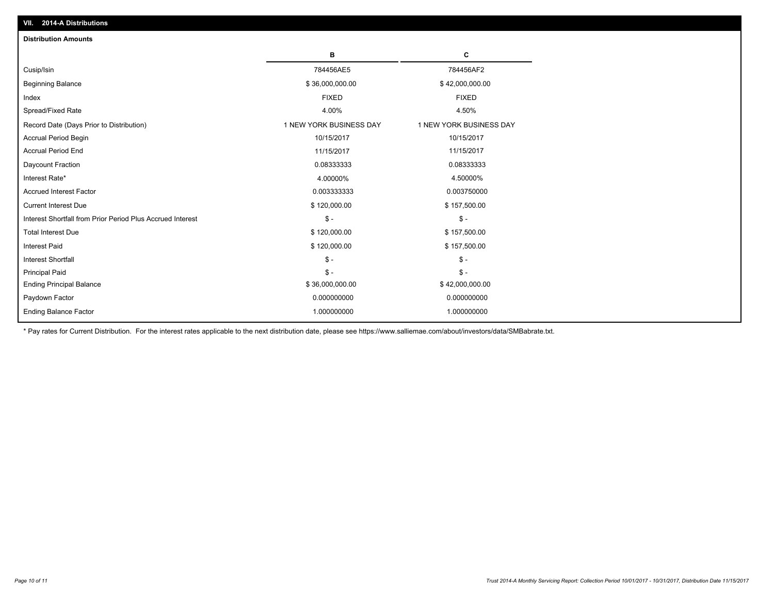| <b>Distribution Amounts</b>                                |                         |                         |
|------------------------------------------------------------|-------------------------|-------------------------|
|                                                            | в                       | C                       |
| Cusip/Isin                                                 | 784456AE5               | 784456AF2               |
| <b>Beginning Balance</b>                                   | \$36,000,000.00         | \$42,000,000.00         |
| Index                                                      | <b>FIXED</b>            | <b>FIXED</b>            |
| Spread/Fixed Rate                                          | 4.00%                   | 4.50%                   |
| Record Date (Days Prior to Distribution)                   | 1 NEW YORK BUSINESS DAY | 1 NEW YORK BUSINESS DAY |
| <b>Accrual Period Begin</b>                                | 10/15/2017              | 10/15/2017              |
| <b>Accrual Period End</b>                                  | 11/15/2017              | 11/15/2017              |
| Daycount Fraction                                          | 0.08333333              | 0.08333333              |
| Interest Rate*                                             | 4.00000%                | 4.50000%                |
| <b>Accrued Interest Factor</b>                             | 0.003333333             | 0.003750000             |
| <b>Current Interest Due</b>                                | \$120,000.00            | \$157,500.00            |
| Interest Shortfall from Prior Period Plus Accrued Interest | $\mathsf{\$}$ -         | $\mathsf{\$}$ -         |
| <b>Total Interest Due</b>                                  | \$120,000.00            | \$157,500.00            |
| <b>Interest Paid</b>                                       | \$120,000.00            | \$157,500.00            |
| <b>Interest Shortfall</b>                                  | $\mathcal{S}$ -         | $\mathcal{S}$ -         |
| <b>Principal Paid</b>                                      | $\mathsf{\$}$ -         | $\mathsf{\$}$ -         |
| <b>Ending Principal Balance</b>                            | \$36,000,000.00         | \$42,000,000.00         |
| Paydown Factor                                             | 0.000000000             | 0.000000000             |
| <b>Ending Balance Factor</b>                               | 1.000000000             | 1.000000000             |

\* Pay rates for Current Distribution. For the interest rates applicable to the next distribution date, please see https://www.salliemae.com/about/investors/data/SMBabrate.txt.

**VII. 2014-A Distributions**